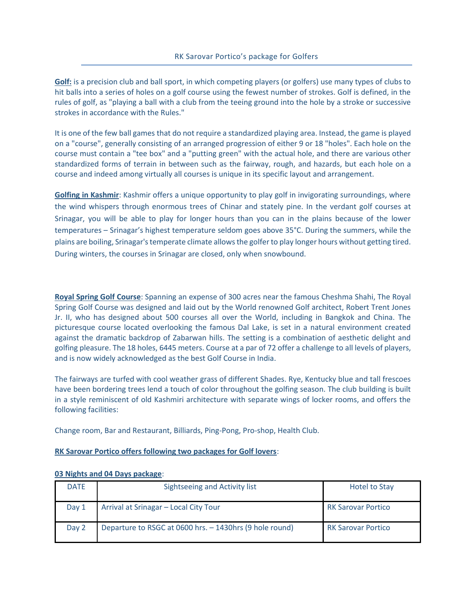**Golf:** is a precision club and ball sport, in which competing players (or golfers) use many types of clubs to hit balls into a series of holes on a golf course using the fewest number of strokes. Golf is defined, in the rules of golf, as "playing a ball with a club from the teeing ground into the hole by a stroke or successive strokes in accordance with the Rules."

It is one of the few ball games that do not require a standardized playing area. Instead, the game is played on a "course", generally consisting of an arranged progression of either 9 or 18 "holes". Each hole on the course must contain a "tee box" and a "putting green" with the actual hole, and there are various other standardized forms of terrain in between such as the fairway, rough, and hazards, but each hole on a course and indeed among virtually all courses is unique in its specific layout and arrangement.

**Golfing in Kashmir**: Kashmir offers a unique opportunity to play golf in invigorating surroundings, where the wind whispers through enormous trees of Chinar and stately pine. In the verdant golf courses at Srinagar, you will be able to play for longer hours than you can in the plains because of the lower temperatures – Srinagar's highest temperature seldom goes above 35°C. During the summers, while the plains are boiling, Srinagar's temperate climate allows the golfer to play longer hours without getting tired. During winters, the courses in Srinagar are closed, only when snowbound.

**Royal Spring Golf Course**: Spanning an expense of 300 acres near the famous Cheshma Shahi, The Royal Spring Golf Course was designed and laid out by the World renowned Golf architect, Robert Trent Jones Jr. II, who has designed about 500 courses all over the World, including in Bangkok and China. The picturesque course located overlooking the famous Dal Lake, is set in a natural environment created against the dramatic backdrop of Zabarwan hills. The setting is a combination of aesthetic delight and golfing pleasure. The 18 holes, 6445 meters. Course at a par of 72 offer a challenge to all levels of players, and is now widely acknowledged as the best Golf Course in India.

The fairways are turfed with cool weather grass of different Shades. Rye, Kentucky blue and tall frescoes have been bordering trees lend a touch of color throughout the golfing season. The club building is built in a style reminiscent of old Kashmiri architecture with separate wings of locker rooms, and offers the following facilities:

Change room, Bar and Restaurant, Billiards, Ping-Pong, Pro-shop, Health Club.

## **RK Sarovar Portico offers following two packages for Golf lovers**:

| <b>DATE</b> | Sightseeing and Activity list                           | <b>Hotel to Stay</b>      |
|-------------|---------------------------------------------------------|---------------------------|
| Day 1       | Arrival at Srinagar - Local City Tour                   | <b>RK Sarovar Portico</b> |
| Day 2       | Departure to RSGC at 0600 hrs. - 1430hrs (9 hole round) | <b>RK Sarovar Portico</b> |

## **03 Nights and 04 Days package**: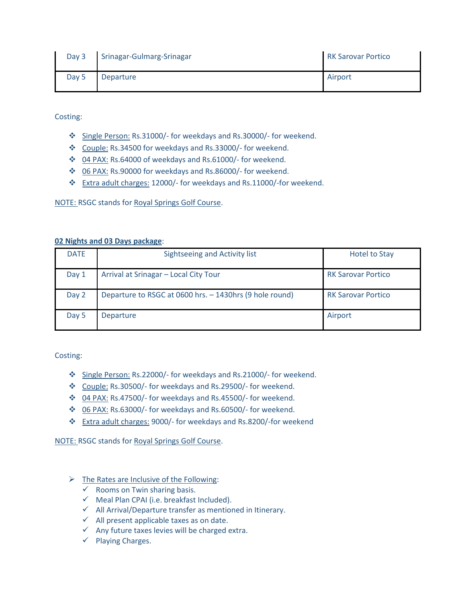| Day <sub>3</sub> | Srinagar-Gulmarg-Srinagar | <b>RK Sarovar Portico</b> |
|------------------|---------------------------|---------------------------|
| Day 5            | Departure                 | Airport                   |

Costing:

- Single Person: Rs.31000/- for weekdays and Rs.30000/- for weekend.
- Couple: Rs.34500 for weekdays and Rs.33000/- for weekend.
- 04 PAX: Rs.64000 of weekdays and Rs.61000/- for weekend.
- 06 PAX: Rs.90000 for weekdays and Rs.86000/- for weekend.
- \* Extra adult charges: 12000/- for weekdays and Rs.11000/-for weekend.

NOTE: RSGC stands for Royal Springs Golf Course.

## **02 Nights and 03 Days package**:

| <b>DATE</b> | Sightseeing and Activity list                           | <b>Hotel to Stay</b>      |
|-------------|---------------------------------------------------------|---------------------------|
| Day 1       | Arrival at Srinagar - Local City Tour                   | <b>RK Sarovar Portico</b> |
| Day 2       | Departure to RSGC at 0600 hrs. - 1430hrs (9 hole round) | <b>RK Sarovar Portico</b> |
| Day 5       | Departure                                               | Airport                   |

Costing:

- Single Person: Rs.22000/- for weekdays and Rs.21000/- for weekend.
- Couple: Rs.30500/- for weekdays and Rs.29500/- for weekend.
- 04 PAX: Rs.47500/- for weekdays and Rs.45500/- for weekend.
- **❖** 06 PAX: Rs.63000/- for weekdays and Rs.60500/- for weekend.
- Extra adult charges: 9000/- for weekdays and Rs.8200/-for weekend

NOTE: RSGC stands for Royal Springs Golf Course.

## $\triangleright$  The Rates are Inclusive of the Following:

- $\checkmark$  Rooms on Twin sharing basis.
- $\checkmark$  Meal Plan CPAI (i.e. breakfast Included).
- $\checkmark$  All Arrival/Departure transfer as mentioned in Itinerary.
- $\checkmark$  All present applicable taxes as on date.
- $\checkmark$  Any future taxes levies will be charged extra.
- $\checkmark$  Playing Charges.